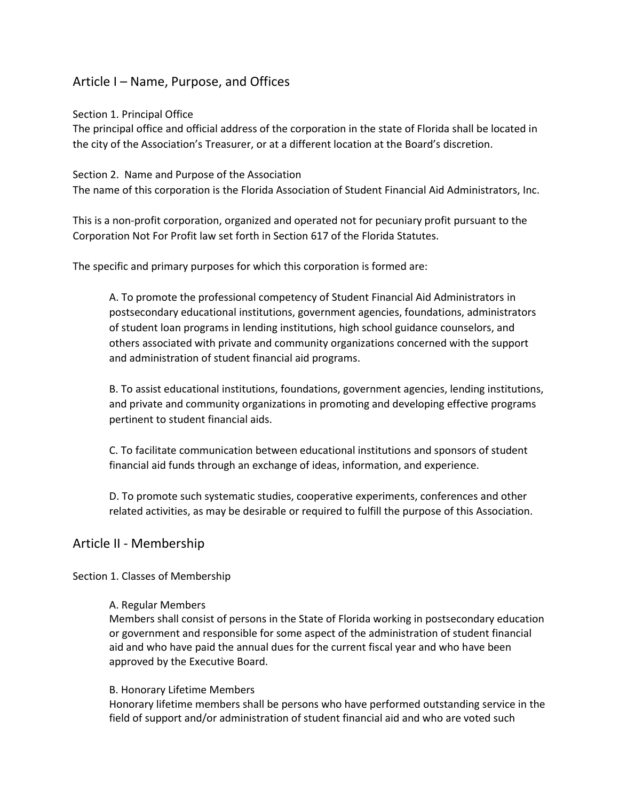# Article I – Name, Purpose, and Offices

Section 1. Principal Office

The principal office and official address of the corporation in the state of Florida shall be located in the city of the Association's Treasurer, or at a different location at the Board's discretion.

Section 2. Name and Purpose of the Association

The name of this corporation is the Florida Association of Student Financial Aid Administrators, Inc.

This is a non-profit corporation, organized and operated not for pecuniary profit pursuant to the Corporation Not For Profit law set forth in Section 617 of the Florida Statutes.

The specific and primary purposes for which this corporation is formed are:

A. To promote the professional competency of Student Financial Aid Administrators in postsecondary educational institutions, government agencies, foundations, administrators of student loan programs in lending institutions, high school guidance counselors, and others associated with private and community organizations concerned with the support and administration of student financial aid programs.

B. To assist educational institutions, foundations, government agencies, lending institutions, and private and community organizations in promoting and developing effective programs pertinent to student financial aids.

C. To facilitate communication between educational institutions and sponsors of student financial aid funds through an exchange of ideas, information, and experience.

D. To promote such systematic studies, cooperative experiments, conferences and other related activities, as may be desirable or required to fulfill the purpose of this Association.

# Article II - Membership

# Section 1. Classes of Membership

#### A. Regular Members

Members shall consist of persons in the State of Florida working in postsecondary education or government and responsible for some aspect of the administration of student financial aid and who have paid the annual dues for the current fiscal year and who have been approved by the Executive Board.

#### B. Honorary Lifetime Members

Honorary lifetime members shall be persons who have performed outstanding service in the field of support and/or administration of student financial aid and who are voted such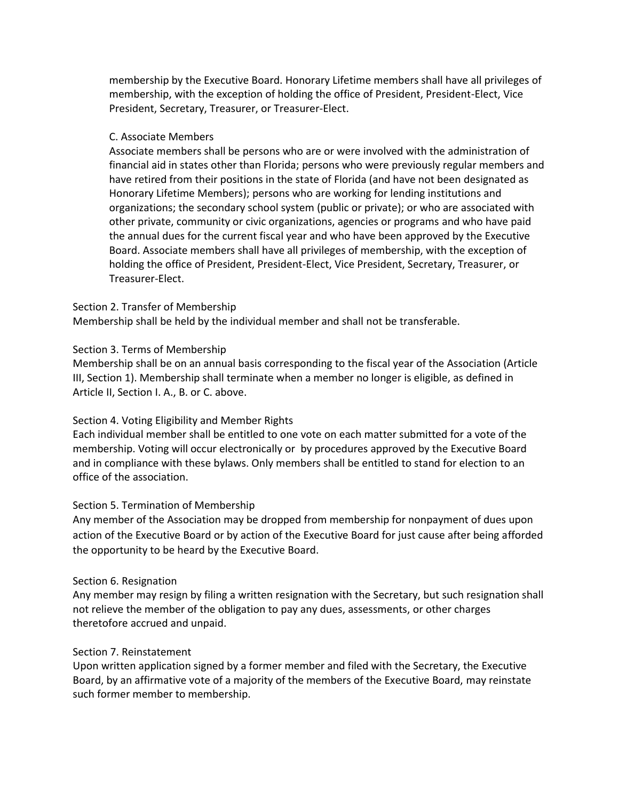membership by the Executive Board. Honorary Lifetime members shall have all privileges of membership, with the exception of holding the office of President, President-Elect, Vice President, Secretary, Treasurer, or Treasurer-Elect.

#### C. Associate Members

Associate members shall be persons who are or were involved with the administration of financial aid in states other than Florida; persons who were previously regular members and have retired from their positions in the state of Florida (and have not been designated as Honorary Lifetime Members); persons who are working for lending institutions and organizations; the secondary school system (public or private); or who are associated with other private, community or civic organizations, agencies or programs and who have paid the annual dues for the current fiscal year and who have been approved by the Executive Board. Associate members shall have all privileges of membership, with the exception of holding the office of President, President-Elect, Vice President, Secretary, Treasurer, or Treasurer-Elect.

#### Section 2. Transfer of Membership

Membership shall be held by the individual member and shall not be transferable.

#### Section 3. Terms of Membership

Membership shall be on an annual basis corresponding to the fiscal year of the Association (Article III, Section 1). Membership shall terminate when a member no longer is eligible, as defined in Article II, Section I. A., B. or C. above.

# Section 4. Voting Eligibility and Member Rights

Each individual member shall be entitled to one vote on each matter submitted for a vote of the membership. Voting will occur electronically or by procedures approved by the Executive Board and in compliance with these bylaws. Only members shall be entitled to stand for election to an office of the association.

# Section 5. Termination of Membership

Any member of the Association may be dropped from membership for nonpayment of dues upon action of the Executive Board or by action of the Executive Board for just cause after being afforded the opportunity to be heard by the Executive Board.

#### Section 6. Resignation

Any member may resign by filing a written resignation with the Secretary, but such resignation shall not relieve the member of the obligation to pay any dues, assessments, or other charges theretofore accrued and unpaid.

#### Section 7. Reinstatement

Upon written application signed by a former member and filed with the Secretary, the Executive Board, by an affirmative vote of a majority of the members of the Executive Board, may reinstate such former member to membership.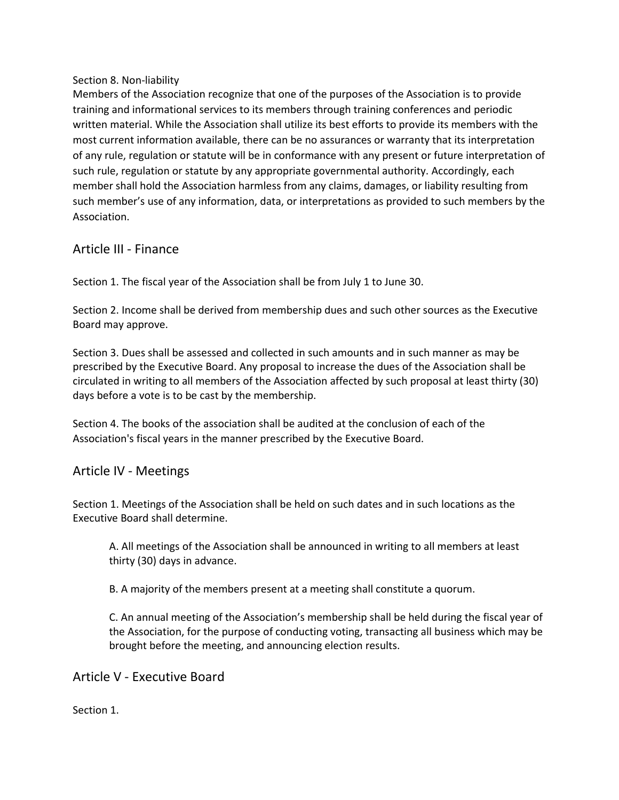# Section 8. Non-liability

Members of the Association recognize that one of the purposes of the Association is to provide training and informational services to its members through training conferences and periodic written material. While the Association shall utilize its best efforts to provide its members with the most current information available, there can be no assurances or warranty that its interpretation of any rule, regulation or statute will be in conformance with any present or future interpretation of such rule, regulation or statute by any appropriate governmental authority. Accordingly, each member shall hold the Association harmless from any claims, damages, or liability resulting from such member's use of any information, data, or interpretations as provided to such members by the Association.

# Article III - Finance

Section 1. The fiscal year of the Association shall be from July 1 to June 30.

Section 2. Income shall be derived from membership dues and such other sources as the Executive Board may approve.

Section 3. Dues shall be assessed and collected in such amounts and in such manner as may be prescribed by the Executive Board. Any proposal to increase the dues of the Association shall be circulated in writing to all members of the Association affected by such proposal at least thirty (30) days before a vote is to be cast by the membership.

Section 4. The books of the association shall be audited at the conclusion of each of the Association's fiscal years in the manner prescribed by the Executive Board.

# Article IV - Meetings

Section 1. Meetings of the Association shall be held on such dates and in such locations as the Executive Board shall determine.

A. All meetings of the Association shall be announced in writing to all members at least thirty (30) days in advance.

B. A majority of the members present at a meeting shall constitute a quorum.

C. An annual meeting of the Association's membership shall be held during the fiscal year of the Association, for the purpose of conducting voting, transacting all business which may be brought before the meeting, and announcing election results.

Article V - Executive Board

Section 1.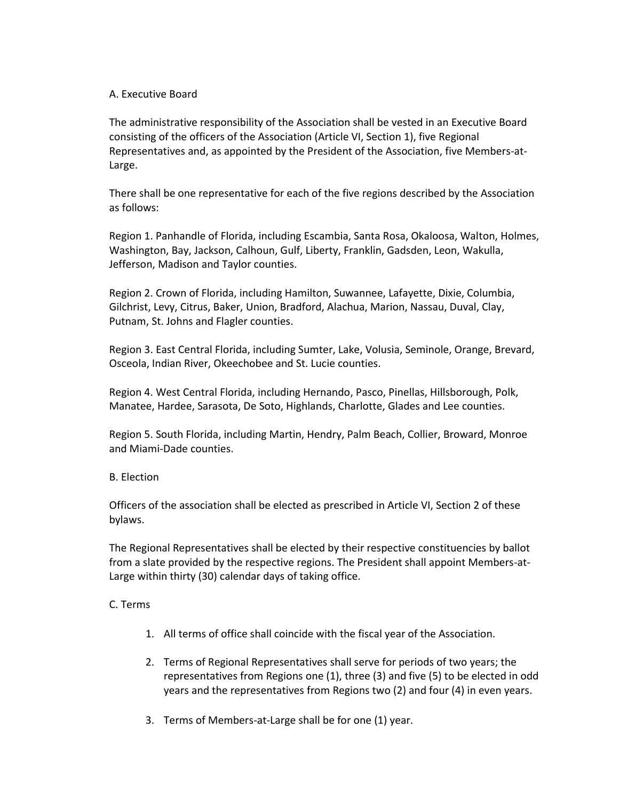### A. Executive Board

The administrative responsibility of the Association shall be vested in an Executive Board consisting of the officers of the Association (Article VI, Section 1), five Regional Representatives and, as appointed by the President of the Association, five Members-at-Large.

There shall be one representative for each of the five regions described by the Association as follows:

Region 1. Panhandle of Florida, including Escambia, Santa Rosa, Okaloosa, Walton, Holmes, Washington, Bay, Jackson, Calhoun, Gulf, Liberty, Franklin, Gadsden, Leon, Wakulla, Jefferson, Madison and Taylor counties.

Region 2. Crown of Florida, including Hamilton, Suwannee, Lafayette, Dixie, Columbia, Gilchrist, Levy, Citrus, Baker, Union, Bradford, Alachua, Marion, Nassau, Duval, Clay, Putnam, St. Johns and Flagler counties.

Region 3. East Central Florida, including Sumter, Lake, Volusia, Seminole, Orange, Brevard, Osceola, Indian River, Okeechobee and St. Lucie counties.

Region 4. West Central Florida, including Hernando, Pasco, Pinellas, Hillsborough, Polk, Manatee, Hardee, Sarasota, De Soto, Highlands, Charlotte, Glades and Lee counties.

Region 5. South Florida, including Martin, Hendry, Palm Beach, Collier, Broward, Monroe and Miami-Dade counties.

#### B. Election

Officers of the association shall be elected as prescribed in Article VI, Section 2 of these bylaws.

The Regional Representatives shall be elected by their respective constituencies by ballot from a slate provided by the respective regions. The President shall appoint Members-at-Large within thirty (30) calendar days of taking office.

#### C. Terms

- 1. All terms of office shall coincide with the fiscal year of the Association.
- 2. Terms of Regional Representatives shall serve for periods of two years; the representatives from Regions one (1), three (3) and five (5) to be elected in odd years and the representatives from Regions two (2) and four (4) in even years.
- 3. Terms of Members-at-Large shall be for one (1) year.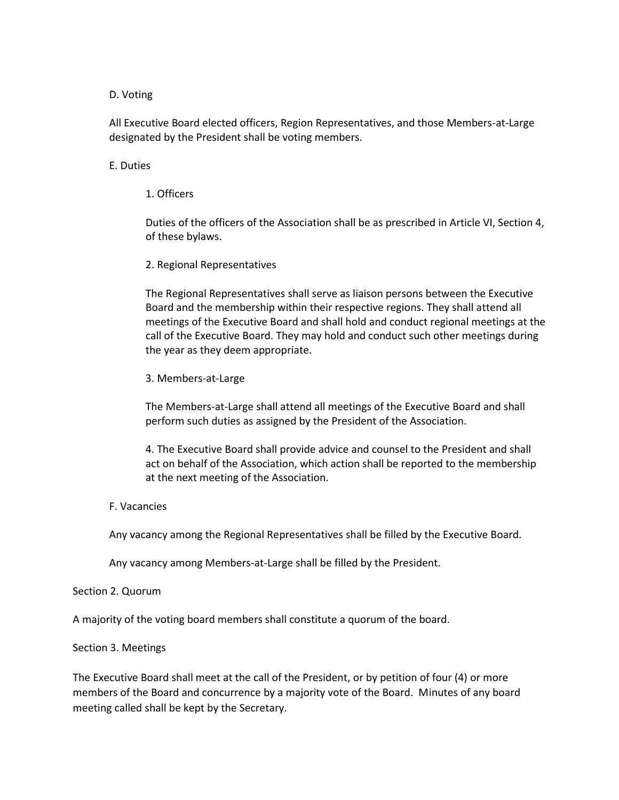#### D. Voting

All Executive Board elected officers, Region Representatives, and those Members-at-Large designated by the President shall be voting members.

#### E. Duties

1. Officers

Duties of the officers of the Association shall be as prescribed in Article VI, Section 4, of these bylaws.

#### 2. Regional Representatives

The Regional Representatives shall serve as liaison persons between the Executive Board and the membership within their respective regions. They shall attend all meetings of the Executive Board and shall hold and conduct regional meetings at the call of the Executive Board. They may hold and conduct such other meetings during the year as they deem appropriate.

3. Members-at-Large

The Members-at-Large shall attend all meetings of the Executive Board and shall perform such duties as assigned by the President of the Association.

4. The Executive Board shall provide advice and counsel to the President and shall act on behalf of the Association, which action shall be reported to the membership at the next meeting of the Association.

#### F. Vacancies

Any vacancy among the Regional Representatives shall be filled by the Executive Board.

Any vacancy among Members-at-Large shall be filled by the President.

#### Section 2. Quorum

A majority of the voting board members shall constitute a quorum of the board.

#### Section 3. Meetings

The Executive Board shall meet at the call of the President, or by petition of four (4) or more members of the Board and concurrence by a majority vote of the Board. Minutes of any board meeting called shall be kept by the Secretary.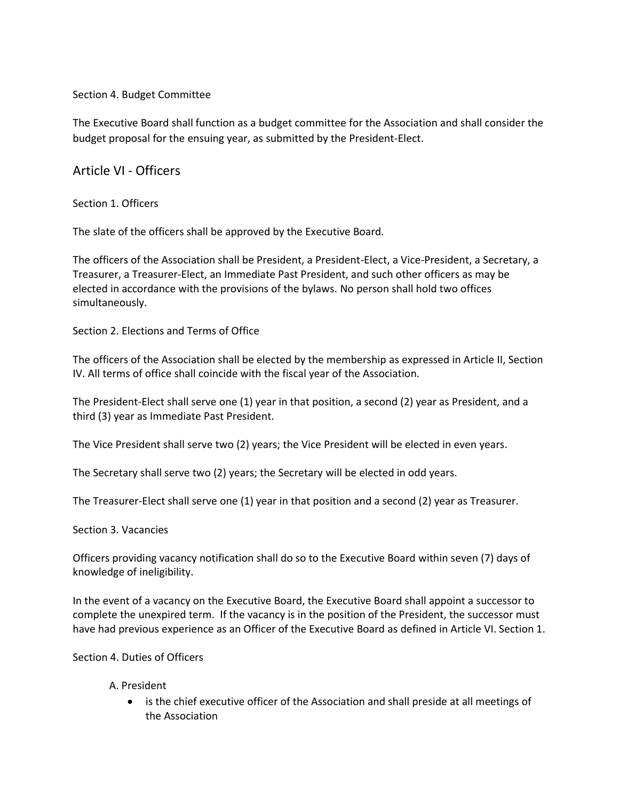Section 4. Budget Committee

The Executive Board shall function as a budget committee for the Association and shall consider the budget proposal for the ensuing year, as submitted by the President-Elect.

Article VI - Officers

Section 1. Officers

The slate of the officers shall be approved by the Executive Board.

The officers of the Association shall be President, a President-Elect, a Vice-President, a Secretary, a Treasurer, a Treasurer-Elect, an Immediate Past President, and such other officers as may be elected in accordance with the provisions of the bylaws. No person shall hold two offices simultaneously.

Section 2. Elections and Terms of Office

The officers of the Association shall be elected by the membership as expressed in Article II, Section IV. All terms of office shall coincide with the fiscal year of the Association.

The President-Elect shall serve one (1) year in that position, a second (2) year as President, and a third (3) year as Immediate Past President.

The Vice President shall serve two (2) years; the Vice President will be elected in even years.

The Secretary shall serve two (2) years; the Secretary will be elected in odd years.

The Treasurer-Elect shall serve one (1) year in that position and a second (2) year as Treasurer.

Section 3. Vacancies

Officers providing vacancy notification shall do so to the Executive Board within seven (7) days of knowledge of ineligibility.

In the event of a vacancy on the Executive Board, the Executive Board shall appoint a successor to complete the unexpired term. If the vacancy is in the position of the President, the successor must have had previous experience as an Officer of the Executive Board as defined in Article VI. Section 1.

Section 4. Duties of Officers

# A. President

 is the chief executive officer of the Association and shall preside at all meetings of the Association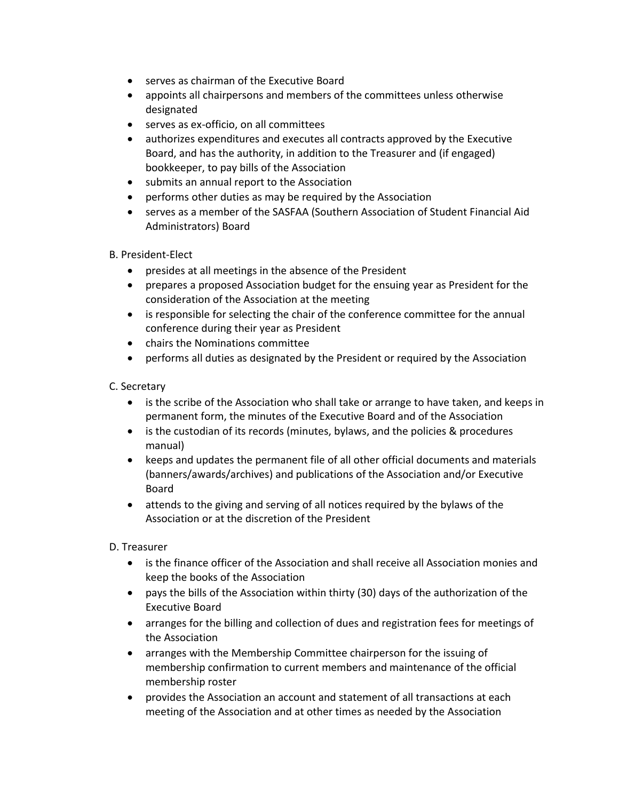- serves as chairman of the Executive Board
- appoints all chairpersons and members of the committees unless otherwise designated
- serves as ex-officio, on all committees
- authorizes expenditures and executes all contracts approved by the Executive Board, and has the authority, in addition to the Treasurer and (if engaged) bookkeeper, to pay bills of the Association
- submits an annual report to the Association
- performs other duties as may be required by the Association
- serves as a member of the SASFAA (Southern Association of Student Financial Aid Administrators) Board

# B. President-Elect

- presides at all meetings in the absence of the President
- prepares a proposed Association budget for the ensuing year as President for the consideration of the Association at the meeting
- is responsible for selecting the chair of the conference committee for the annual conference during their year as President
- chairs the Nominations committee
- performs all duties as designated by the President or required by the Association

# C. Secretary

- is the scribe of the Association who shall take or arrange to have taken, and keeps in permanent form, the minutes of the Executive Board and of the Association
- is the custodian of its records (minutes, bylaws, and the policies & procedures manual)
- keeps and updates the permanent file of all other official documents and materials (banners/awards/archives) and publications of the Association and/or Executive Board
- attends to the giving and serving of all notices required by the bylaws of the Association or at the discretion of the President

# D. Treasurer

- is the finance officer of the Association and shall receive all Association monies and keep the books of the Association
- pays the bills of the Association within thirty (30) days of the authorization of the Executive Board
- arranges for the billing and collection of dues and registration fees for meetings of the Association
- arranges with the Membership Committee chairperson for the issuing of membership confirmation to current members and maintenance of the official membership roster
- provides the Association an account and statement of all transactions at each meeting of the Association and at other times as needed by the Association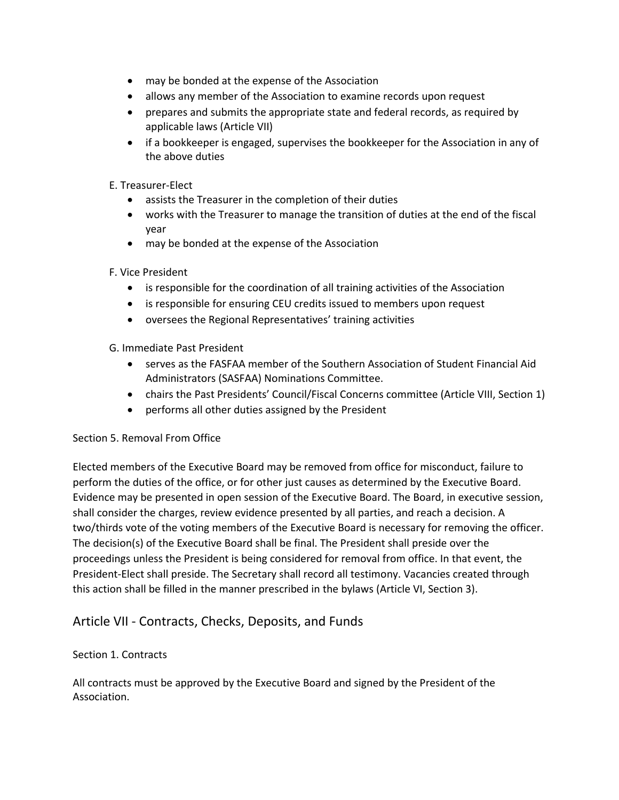- may be bonded at the expense of the Association
- allows any member of the Association to examine records upon request
- prepares and submits the appropriate state and federal records, as required by applicable laws (Article VII)
- if a bookkeeper is engaged, supervises the bookkeeper for the Association in any of the above duties
- E. Treasurer-Elect
	- assists the Treasurer in the completion of their duties
	- works with the Treasurer to manage the transition of duties at the end of the fiscal year
	- may be bonded at the expense of the Association

# F. Vice President

- is responsible for the coordination of all training activities of the Association
- is responsible for ensuring CEU credits issued to members upon request
- oversees the Regional Representatives' training activities

# G. Immediate Past President

- serves as the FASFAA member of the Southern Association of Student Financial Aid Administrators (SASFAA) Nominations Committee.
- chairs the Past Presidents' Council/Fiscal Concerns committee (Article VIII, Section 1)
- performs all other duties assigned by the President

# Section 5. Removal From Office

Elected members of the Executive Board may be removed from office for misconduct, failure to perform the duties of the office, or for other just causes as determined by the Executive Board. Evidence may be presented in open session of the Executive Board. The Board, in executive session, shall consider the charges, review evidence presented by all parties, and reach a decision. A two/thirds vote of the voting members of the Executive Board is necessary for removing the officer. The decision(s) of the Executive Board shall be final. The President shall preside over the proceedings unless the President is being considered for removal from office. In that event, the President-Elect shall preside. The Secretary shall record all testimony. Vacancies created through this action shall be filled in the manner prescribed in the bylaws (Article VI, Section 3).

# Article VII - Contracts, Checks, Deposits, and Funds

# Section 1. Contracts

All contracts must be approved by the Executive Board and signed by the President of the Association.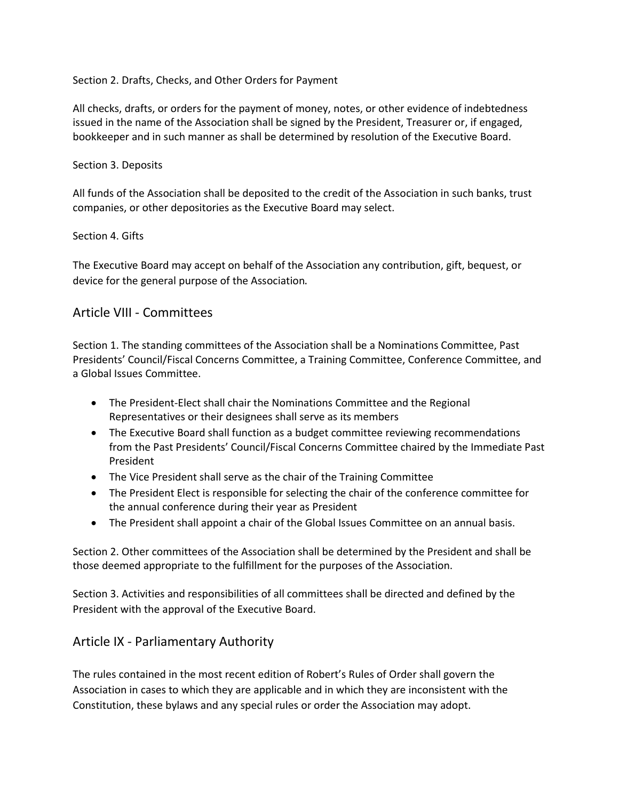Section 2. Drafts, Checks, and Other Orders for Payment

All checks, drafts, or orders for the payment of money, notes, or other evidence of indebtedness issued in the name of the Association shall be signed by the President, Treasurer or, if engaged, bookkeeper and in such manner as shall be determined by resolution of the Executive Board.

# Section 3. Deposits

All funds of the Association shall be deposited to the credit of the Association in such banks, trust companies, or other depositories as the Executive Board may select.

#### Section 4. Gifts

The Executive Board may accept on behalf of the Association any contribution, gift, bequest, or device for the general purpose of the Association.

# Article VIII - Committees

Section 1. The standing committees of the Association shall be a Nominations Committee, Past Presidents' Council/Fiscal Concerns Committee, a Training Committee, Conference Committee, and a Global Issues Committee.

- The President-Elect shall chair the Nominations Committee and the Regional Representatives or their designees shall serve as its members
- The Executive Board shall function as a budget committee reviewing recommendations from the Past Presidents' Council/Fiscal Concerns Committee chaired by the Immediate Past President
- The Vice President shall serve as the chair of the Training Committee
- The President Elect is responsible for selecting the chair of the conference committee for the annual conference during their year as President
- The President shall appoint a chair of the Global Issues Committee on an annual basis.

Section 2. Other committees of the Association shall be determined by the President and shall be those deemed appropriate to the fulfillment for the purposes of the Association.

Section 3. Activities and responsibilities of all committees shall be directed and defined by the President with the approval of the Executive Board.

# Article IX - Parliamentary Authority

The rules contained in the most recent edition of Robert's Rules of Order shall govern the Association in cases to which they are applicable and in which they are inconsistent with the Constitution, these bylaws and any special rules or order the Association may adopt.